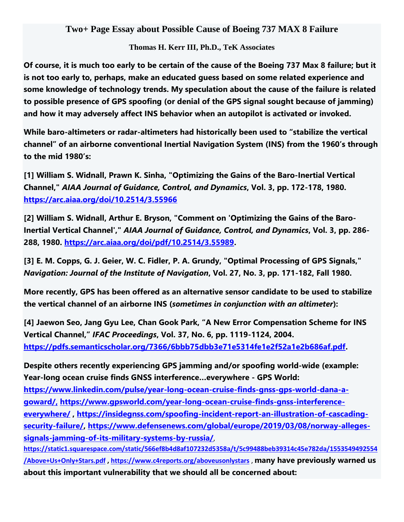## **Two+ Page Essay about Possible Cause of Boeing 737 MAX 8 Failure**

## **Thomas H. Kerr III, Ph.D., TeK Associates**

Of course, it is much too early to be certain of the cause of the Boeing 737 Max 8 failure; but it **is not too early to, perhaps, make an educated guess based on some related experience and some knowledge of technology trends. My speculation about the cause of the failure is related to possible presence of GPS spoofing (or denial of the GPS signal sought because of jamming) and how it may adversely affect INS behavior when an autopilot is activated or invoked.**

**While baro-altimeters or radar-altimeters had historically been used to "stabilize the vertical channel" of an airborne conventional Inertial Navigation System (INS) from the 1960's through to the mid 1980's:**

**[1] William S. Widnall, Prawn K. Sinha, "Optimizing the Gains of the Baro-Inertial Vertical Channel,"** *AIAA Journal of Guidance, Control, and Dynamics***, Vol. 3, pp. 172-178, 1980. <https://arc.aiaa.org/doi/10.2514/3.55966>**

**[2] William S. Widnall, Arthur E. Bryson, "Comment on 'Optimizing the Gains of the Baro-Inertial Vertical Channel',"** *AIAA Journal of Guidance, Control, and Dynamics***, Vol. 3, pp. 286- 288, 1980. [https://arc.aiaa.org/doi/pdf/10.2514/3.55989.](https://arc.aiaa.org/doi/pdf/10.2514/3.55989)**

**[3] E. M. Copps, G. J. Geier, W. C. Fidler, P. A. Grundy, "Optimal Processing of GPS Signals,"** *Navigation: Journal of the Institute of Navigation***, Vol. 27, No. 3, pp. 171-182, Fall 1980.**

**More recently, GPS has been offered as an alternative sensor candidate to be used to stabilize the vertical channel of an airborne INS (***sometimes in conjunction with an altimeter***):**

**[4] Jaewon Seo, Jang Gyu Lee, Chan Gook Park, "A New Error Compensation Scheme for INS Vertical Channel,"** *IFAC Proceedings***, Vol. 37, No. 6, pp. 1119-1124, 2004. [https://pdfs.semanticscholar.org/7366/6bbb75dbb3e71e5314fe1e2f52a1e2b686af.pdf.](https://pdfs.semanticscholar.org/7366/6bbb75dbb3e71e5314fe1e2f52a1e2b686af.pdf)**

**Despite others recently experiencing GPS jamming and/or spoofing world-wide (example: Year-long ocean cruise finds GNSS interference…everywhere - GPS World:**

**[https://www.linkedin.com/pulse/year-long-ocean-cruise-finds-gnss-gps-world-dana-a](https://www.linkedin.com/pulse/year-long-ocean-cruise-finds-gnss-gps-world-dana-a-goward/)[goward/,](https://www.linkedin.com/pulse/year-long-ocean-cruise-finds-gnss-gps-world-dana-a-goward/) [https://www.gpsworld.com/year-long-ocean-cruise-finds-gnss-interference](https://www.gpsworld.com/year-long-ocean-cruise-finds-gnss-interference-everywhere/)[everywhere/](https://www.gpsworld.com/year-long-ocean-cruise-finds-gnss-interference-everywhere/) , [https://insidegnss.com/spoofing-incident-report-an-illustration-of-cascading](https://insidegnss.com/spoofing-incident-report-an-illustration-of-cascading-security-failure/)[security-failure/,](https://insidegnss.com/spoofing-incident-report-an-illustration-of-cascading-security-failure/) [https://www.defensenews.com/global/europe/2019/03/08/norway-alleges](https://www.defensenews.com/global/europe/2019/03/08/norway-alleges-signals-jamming-of-its-military-systems-by-russia/)[signals-jamming-of-its-military-systems-by-russia/](https://www.defensenews.com/global/europe/2019/03/08/norway-alleges-signals-jamming-of-its-military-systems-by-russia/)**,

**[https://static1.squarespace.com/static/566ef8b4d8af107232d5358a/t/5c99488beb39314c45e782da/1553549492554](https://static1.squarespace.com/static/566ef8b4d8af107232d5358a/t/5c99488beb39314c45e782da/1553549492554/Above+Us+Only+Stars.pdf) [/Above+Us+Only+Stars.pdf](https://static1.squarespace.com/static/566ef8b4d8af107232d5358a/t/5c99488beb39314c45e782da/1553549492554/Above+Us+Only+Stars.pdf) ,<https://www.c4reports.org/aboveusonlystars>** , **many have previously warned us about this important vulnerability that we should all be concerned about:**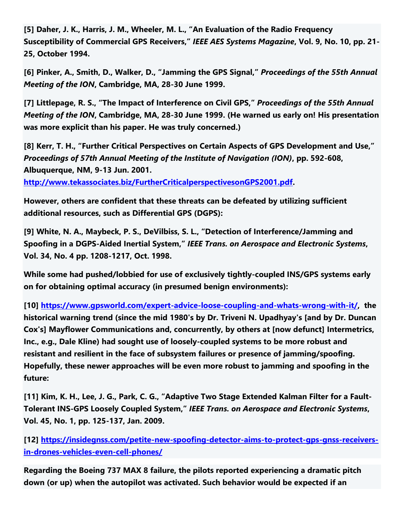**[5] Daher, J. K., Harris, J. M., Wheeler, M. L., "An Evaluation of the Radio Frequency Susceptibility of Commercial GPS Receivers,"** *IEEE AES Systems Magazine***, Vol. 9, No. 10, pp. 21- 25, October 1994.**

**[6] Pinker, A., Smith, D., Walker, D., "Jamming the GPS Signal,"** *Proceedings of the 55th Annual Meeting of the ION***, Cambridge, MA, 28-30 June 1999.**

**[7] Littlepage, R. S., "The Impact of Interference on Civil GPS,"** *Proceedings of the 55th Annual Meeting of the ION***, Cambridge, MA, 28-30 June 1999. (He warned us early on! His presentation was more explicit than his paper. He was truly concerned.)**

**[8] Kerr, T. H., "Further Critical Perspectives on Certain Aspects of GPS Development and Use,"** *Proceedings of 57th Annual Meeting of the Institute of Navigation (ION)***, pp. 592-608, Albuquerque, NM, 9-13 Jun. 2001.**

**[http://www.tekassociates.biz/FurtherCriticalperspectivesonGPS2001.pdf.](http://www.tekassociates.biz/FurtherCriticalperspectivesonGPS2001.pdf)** 

**However, others are confident that these threats can be defeated by utilizing sufficient additional resources, such as Differential GPS (DGPS):**

**[9] White, N. A., Maybeck, P. S., DeVilbiss, S. L., "Detection of Interference/Jamming and Spoofing in a DGPS-Aided Inertial System,"** *IEEE Trans. on Aerospace and Electronic Systems***, Vol. 34, No. 4 pp. 1208-1217, Oct. 1998.**

**While some had pushed/lobbied for use of exclusively tightly-coupled INS/GPS systems early on for obtaining optimal accuracy (in presumed benign environments):**

**[10] [https://www.gpsworld.com/expert-advice-loose-coupling-and-whats-wrong-with-it/,](https://www.gpsworld.com/expert-advice-loose-coupling-and-whats-wrong-with-it/) the historical warning trend (since the mid 1980's by Dr. Triveni N. Upadhyay's [and by Dr. Duncan Cox's] Mayflower Communications and, concurrently, by others at [now defunct] Intermetrics, Inc., e.g., Dale Kline) had sought use of loosely-coupled systems to be more robust and resistant and resilient in the face of subsystem failures or presence of jamming/spoofing. Hopefully, these newer approaches will be even more robust to jamming and spoofing in the future:**

[11] Kim, K. H., Lee, J. G., Park, C. G., "Adaptive Two Stage Extended Kalman Filter for a Fault-**Tolerant INS-GPS Loosely Coupled System,"** *IEEE Trans. on Aerospace and Electronic Systems***, Vol. 45, No. 1, pp. 125-137, Jan. 2009.**

**[12] [https://insidegnss.com/petite-new-spoofing-detector-aims-to-protect-gps-gnss-receivers](https://insidegnss.com/petite-new-spoofing-detector-aims-to-protect-gps-gnss-receivers-in-drones-vehicles-even-cell-phones/)[in-drones-vehicles-even-cell-phones/](https://insidegnss.com/petite-new-spoofing-detector-aims-to-protect-gps-gnss-receivers-in-drones-vehicles-even-cell-phones/)**

**Regarding the Boeing 737 MAX 8 failure, the pilots reported experiencing a dramatic pitch down (or up) when the autopilot was activated. Such behavior would be expected if an**